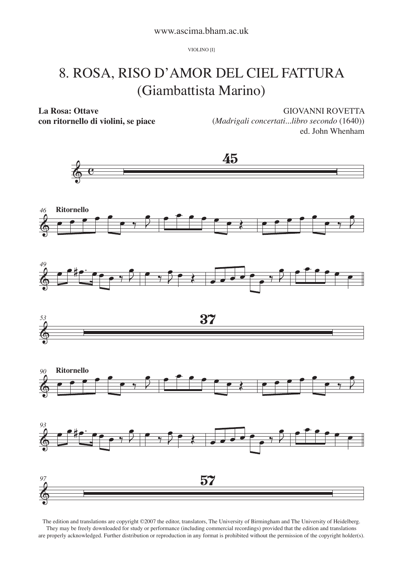VIOLINO [I]

## 8. ROSA, RISO D'AMOR DEL CIEL FATTURA (Giambattista Marino)

**La Rosa: Ottave**

**con ritornello di violini, se piace**

GIOVANNI ROVETTA

(*Madrigali concertati...libro secondo* (1640)) ed. John Whenham



The edition and translations are copyright ©2007 the editor, translators, The University of Birmingham and The University of Heidelberg. They may be freely downloaded for study or performance (including commercial recordings) provided that the edition and translations are properly acknowledged. Further distribution or reproduction in any format is prohibited without the permission of the copyright holder(s).